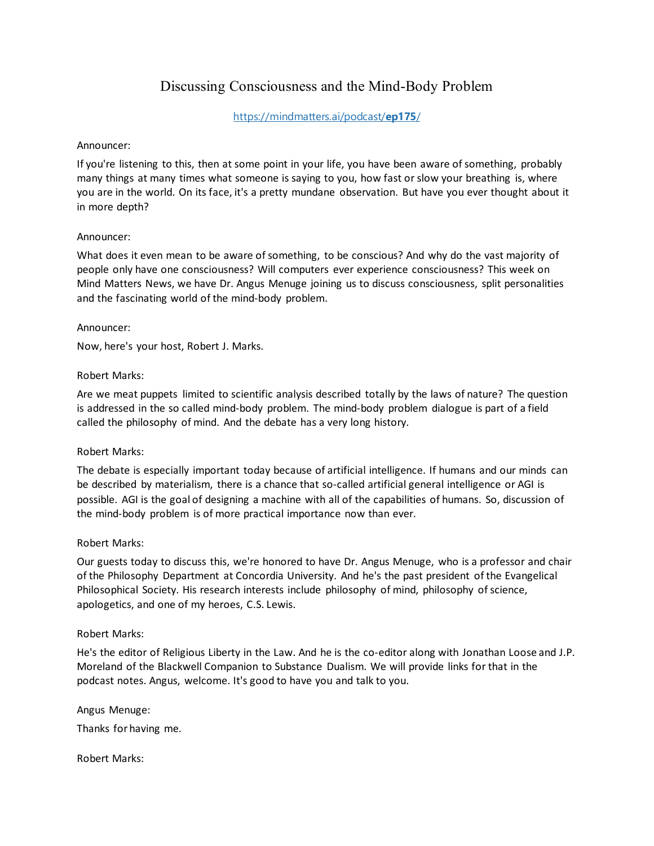# Discussing Consciousness and the Mind-Body Problem

[https://mindmatters.ai/podcast/](https://mindmatters.ai/podcast/ep175/)**ep175**/

### Announcer:

If you're listening to this, then at some point in your life, you have been aware of something, probably many things at many times what someone is saying to you, how fast or slow your breathing is, where you are in the world. On its face, it's a pretty mundane observation. But have you ever thought about it in more depth?

# Announcer:

What does it even mean to be aware of something, to be conscious? And why do the vast majority of people only have one consciousness? Will computers ever experience consciousness? This week on Mind Matters News, we have Dr. Angus Menuge joining us to discuss consciousness, split personalities and the fascinating world of the mind-body problem.

### Announcer:

Now, here's your host, Robert J. Marks.

### Robert Marks:

Are we meat puppets limited to scientific analysis described totally by the laws of nature? The question is addressed in the so called mind-body problem. The mind-body problem dialogue is part of a field called the philosophy of mind. And the debate has a very long history.

# Robert Marks:

The debate is especially important today because of artificial intelligence. If humans and our minds can be described by materialism, there is a chance that so-called artificial general intelligence or AGI is possible. AGI is the goal of designing a machine with all of the capabilities of humans. So, discussion of the mind-body problem is of more practical importance now than ever.

#### Robert Marks:

Our guests today to discuss this, we're honored to have Dr. Angus Menuge, who is a professor and chair of the Philosophy Department at Concordia University. And he's the past president of the Evangelical Philosophical Society. His research interests include philosophy of mind, philosophy of science, apologetics, and one of my heroes, C.S. Lewis.

#### Robert Marks:

He's the editor of Religious Liberty in the Law. And he is the co-editor along with Jonathan Loose and J.P. Moreland of the Blackwell Companion to Substance Dualism. We will provide links for that in the podcast notes. Angus, welcome. It's good to have you and talk to you.

#### Angus Menuge:

Thanks for having me.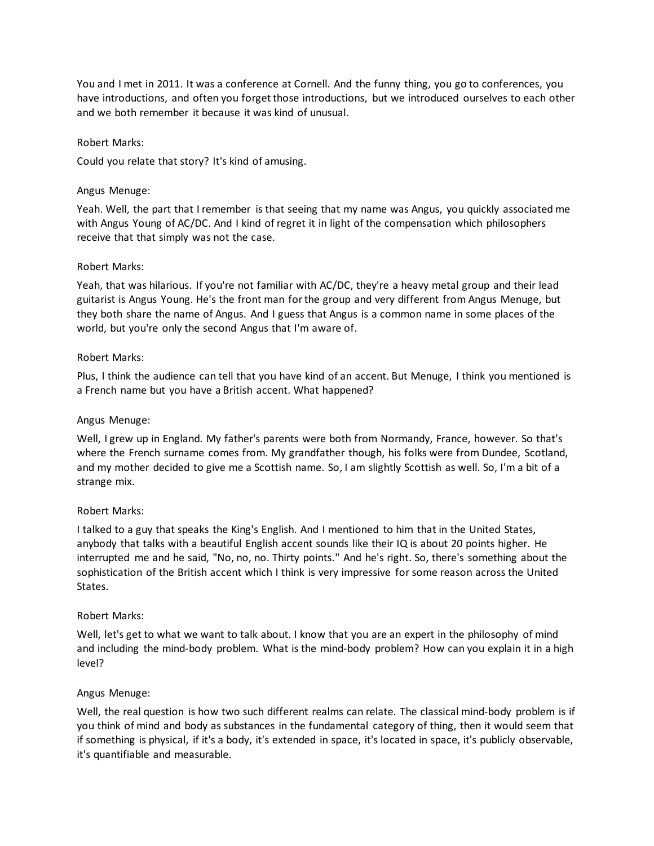You and I met in 2011. It was a conference at Cornell. And the funny thing, you go to conferences, you have introductions, and often you forget those introductions, but we introduced ourselves to each other and we both remember it because it was kind of unusual.

#### Robert Marks:

Could you relate that story? It's kind of amusing.

#### Angus Menuge:

Yeah. Well, the part that I remember is that seeing that my name was Angus, you quickly associated me with Angus Young of AC/DC. And I kind of regret it in light of the compensation which philosophers receive that that simply was not the case.

#### Robert Marks:

Yeah, that was hilarious. If you're not familiar with AC/DC, they're a heavy metal group and their lead guitarist is Angus Young. He's the front man for the group and very different from Angus Menuge, but they both share the name of Angus. And I guess that Angus is a common name in some places of the world, but you're only the second Angus that I'm aware of.

#### Robert Marks:

Plus, I think the audience can tell that you have kind of an accent. But Menuge, I think you mentioned is a French name but you have a British accent. What happened?

#### Angus Menuge:

Well, I grew up in England. My father's parents were both from Normandy, France, however. So that's where the French surname comes from. My grandfather though, his folks were from Dundee, Scotland, and my mother decided to give me a Scottish name. So, I am slightly Scottish as well. So, I'm a bit of a strange mix.

#### Robert Marks:

I talked to a guy that speaks the King's English. And I mentioned to him that in the United States, anybody that talks with a beautiful English accent sounds like their IQ is about 20 points higher. He interrupted me and he said, "No, no, no. Thirty points." And he's right. So, there's something about the sophistication of the British accent which I think is very impressive for some reason across the United States.

#### Robert Marks:

Well, let's get to what we want to talk about. I know that you are an expert in the philosophy of mind and including the mind-body problem. What is the mind-body problem? How can you explain it in a high level?

#### Angus Menuge:

Well, the real question is how two such different realms can relate. The classical mind-body problem is if you think of mind and body as substances in the fundamental category of thing, then it would seem that if something is physical, if it's a body, it's extended in space, it's located in space, it's publicly observable, it's quantifiable and measurable.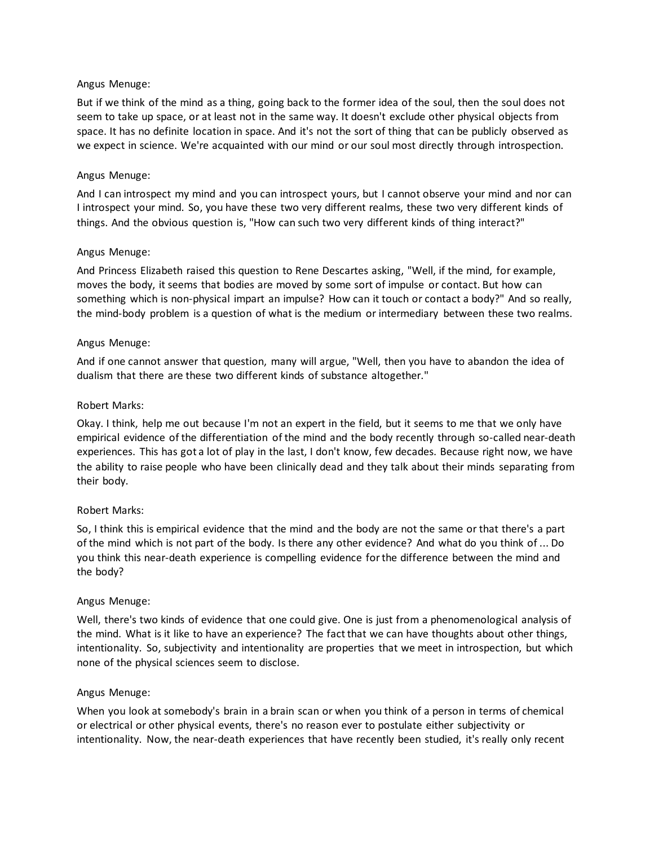But if we think of the mind as a thing, going back to the former idea of the soul, then the soul does not seem to take up space, or at least not in the same way. It doesn't exclude other physical objects from space. It has no definite location in space. And it's not the sort of thing that can be publicly observed as we expect in science. We're acquainted with our mind or our soul most directly through introspection.

### Angus Menuge:

And I can introspect my mind and you can introspect yours, but I cannot observe your mind and nor can I introspect your mind. So, you have these two very different realms, these two very different kinds of things. And the obvious question is, "How can such two very different kinds of thing interact?"

### Angus Menuge:

And Princess Elizabeth raised this question to Rene Descartes asking, "Well, if the mind, for example, moves the body, it seems that bodies are moved by some sort of impulse or contact. But how can something which is non-physical impart an impulse? How can it touch or contact a body?" And so really, the mind-body problem is a question of what is the medium or intermediary between these two realms.

### Angus Menuge:

And if one cannot answer that question, many will argue, "Well, then you have to abandon the idea of dualism that there are these two different kinds of substance altogether."

### Robert Marks:

Okay. I think, help me out because I'm not an expert in the field, but it seems to me that we only have empirical evidence of the differentiation of the mind and the body recently through so-called near-death experiences. This has got a lot of play in the last, I don't know, few decades. Because right now, we have the ability to raise people who have been clinically dead and they talk about their minds separating from their body.

# Robert Marks:

So, I think this is empirical evidence that the mind and the body are not the same or that there's a part of the mind which is not part of the body. Is there any other evidence? And what do you think of ... Do you think this near-death experience is compelling evidence for the difference between the mind and the body?

#### Angus Menuge:

Well, there's two kinds of evidence that one could give. One is just from a phenomenological analysis of the mind. What is it like to have an experience? The fact that we can have thoughts about other things, intentionality. So, subjectivity and intentionality are properties that we meet in introspection, but which none of the physical sciences seem to disclose.

#### Angus Menuge:

When you look at somebody's brain in a brain scan or when you think of a person in terms of chemical or electrical or other physical events, there's no reason ever to postulate either subjectivity or intentionality. Now, the near-death experiences that have recently been studied, it's really only recent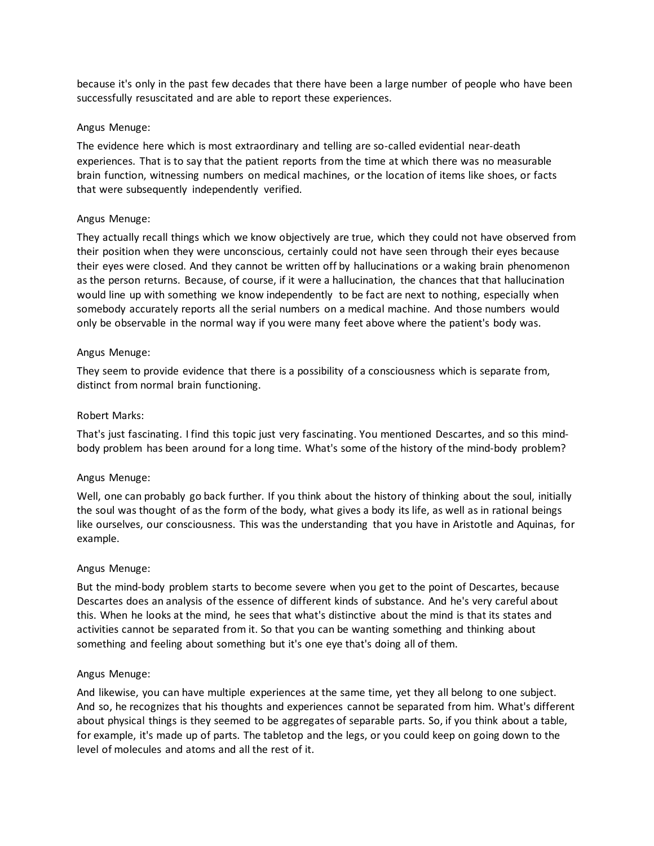because it's only in the past few decades that there have been a large number of people who have been successfully resuscitated and are able to report these experiences.

### Angus Menuge:

The evidence here which is most extraordinary and telling are so-called evidential near-death experiences. That is to say that the patient reports from the time at which there was no measurable brain function, witnessing numbers on medical machines, or the location of items like shoes, or facts that were subsequently independently verified.

### Angus Menuge:

They actually recall things which we know objectively are true, which they could not have observed from their position when they were unconscious, certainly could not have seen through their eyes because their eyes were closed. And they cannot be written off by hallucinations or a waking brain phenomenon as the person returns. Because, of course, if it were a hallucination, the chances that that hallucination would line up with something we know independently to be fact are next to nothing, especially when somebody accurately reports all the serial numbers on a medical machine. And those numbers would only be observable in the normal way if you were many feet above where the patient's body was.

### Angus Menuge:

They seem to provide evidence that there is a possibility of a consciousness which is separate from, distinct from normal brain functioning.

### Robert Marks:

That's just fascinating. I find this topic just very fascinating. You mentioned Descartes, and so this mindbody problem has been around for a long time. What's some of the history of the mind-body problem?

#### Angus Menuge:

Well, one can probably go back further. If you think about the history of thinking about the soul, initially the soul was thought of as the form of the body, what gives a body its life, as well as in rational beings like ourselves, our consciousness. This was the understanding that you have in Aristotle and Aquinas, for example.

#### Angus Menuge:

But the mind-body problem starts to become severe when you get to the point of Descartes, because Descartes does an analysis of the essence of different kinds of substance. And he's very careful about this. When he looks at the mind, he sees that what's distinctive about the mind is that its states and activities cannot be separated from it. So that you can be wanting something and thinking about something and feeling about something but it's one eye that's doing all of them.

#### Angus Menuge:

And likewise, you can have multiple experiences at the same time, yet they all belong to one subject. And so, he recognizes that his thoughts and experiences cannot be separated from him. What's different about physical things is they seemed to be aggregates of separable parts. So, if you think about a table, for example, it's made up of parts. The tabletop and the legs, or you could keep on going down to the level of molecules and atoms and all the rest of it.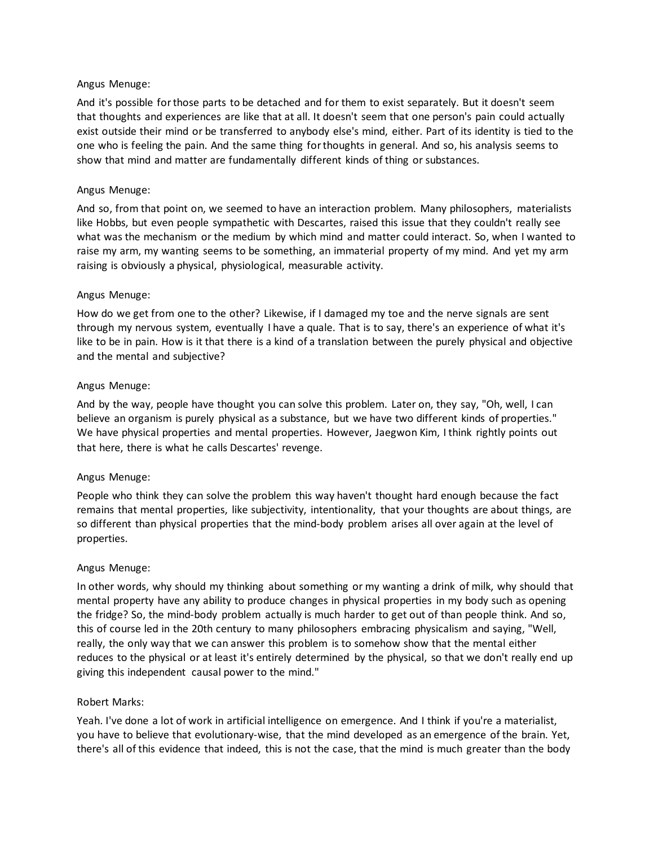And it's possible for those parts to be detached and for them to exist separately. But it doesn't seem that thoughts and experiences are like that at all. It doesn't seem that one person's pain could actually exist outside their mind or be transferred to anybody else's mind, either. Part of its identity is tied to the one who is feeling the pain. And the same thing for thoughts in general. And so, his analysis seems to show that mind and matter are fundamentally different kinds of thing or substances.

# Angus Menuge:

And so, from that point on, we seemed to have an interaction problem. Many philosophers, materialists like Hobbs, but even people sympathetic with Descartes, raised this issue that they couldn't really see what was the mechanism or the medium by which mind and matter could interact. So, when I wanted to raise my arm, my wanting seems to be something, an immaterial property of my mind. And yet my arm raising is obviously a physical, physiological, measurable activity.

### Angus Menuge:

How do we get from one to the other? Likewise, if I damaged my toe and the nerve signals are sent through my nervous system, eventually I have a quale. That is to say, there's an experience of what it's like to be in pain. How is it that there is a kind of a translation between the purely physical and objective and the mental and subjective?

### Angus Menuge:

And by the way, people have thought you can solve this problem. Later on, they say, "Oh, well, I can believe an organism is purely physical as a substance, but we have two different kinds of properties." We have physical properties and mental properties. However, Jaegwon Kim, I think rightly points out that here, there is what he calls Descartes' revenge.

#### Angus Menuge:

People who think they can solve the problem this way haven't thought hard enough because the fact remains that mental properties, like subjectivity, intentionality, that your thoughts are about things, are so different than physical properties that the mind-body problem arises all over again at the level of properties.

#### Angus Menuge:

In other words, why should my thinking about something or my wanting a drink of milk, why should that mental property have any ability to produce changes in physical properties in my body such as opening the fridge? So, the mind-body problem actually is much harder to get out of than people think. And so, this of course led in the 20th century to many philosophers embracing physicalism and saying, "Well, really, the only way that we can answer this problem is to somehow show that the mental either reduces to the physical or at least it's entirely determined by the physical, so that we don't really end up giving this independent causal power to the mind."

#### Robert Marks:

Yeah. I've done a lot of work in artificial intelligence on emergence. And I think if you're a materialist, you have to believe that evolutionary-wise, that the mind developed as an emergence of the brain. Yet, there's all of this evidence that indeed, this is not the case, that the mind is much greater than the body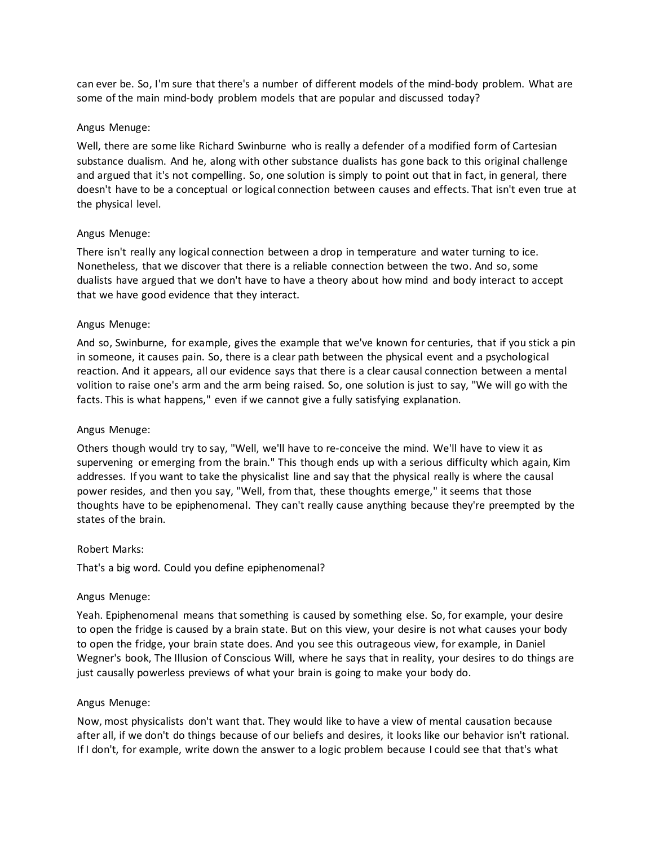can ever be. So, I'm sure that there's a number of different models of the mind-body problem. What are some of the main mind-body problem models that are popular and discussed today?

### Angus Menuge:

Well, there are some like Richard Swinburne who is really a defender of a modified form of Cartesian substance dualism. And he, along with other substance dualists has gone back to this original challenge and argued that it's not compelling. So, one solution is simply to point out that in fact, in general, there doesn't have to be a conceptual or logical connection between causes and effects. That isn't even true at the physical level.

### Angus Menuge:

There isn't really any logical connection between a drop in temperature and water turning to ice. Nonetheless, that we discover that there is a reliable connection between the two. And so, some dualists have argued that we don't have to have a theory about how mind and body interact to accept that we have good evidence that they interact.

### Angus Menuge:

And so, Swinburne, for example, gives the example that we've known for centuries, that if you stick a pin in someone, it causes pain. So, there is a clear path between the physical event and a psychological reaction. And it appears, all our evidence says that there is a clear causal connection between a mental volition to raise one's arm and the arm being raised. So, one solution is just to say, "We will go with the facts. This is what happens," even if we cannot give a fully satisfying explanation.

#### Angus Menuge:

Others though would try to say, "Well, we'll have to re-conceive the mind. We'll have to view it as supervening or emerging from the brain." This though ends up with a serious difficulty which again, Kim addresses. If you want to take the physicalist line and say that the physical really is where the causal power resides, and then you say, "Well, from that, these thoughts emerge," it seems that those thoughts have to be epiphenomenal. They can't really cause anything because they're preempted by the states of the brain.

#### Robert Marks:

That's a big word. Could you define epiphenomenal?

#### Angus Menuge:

Yeah. Epiphenomenal means that something is caused by something else. So, for example, your desire to open the fridge is caused by a brain state. But on this view, your desire is not what causes your body to open the fridge, your brain state does. And you see this outrageous view, for example, in Daniel Wegner's book, The Illusion of Conscious Will, where he says that in reality, your desires to do things are just causally powerless previews of what your brain is going to make your body do.

#### Angus Menuge:

Now, most physicalists don't want that. They would like to have a view of mental causation because after all, if we don't do things because of our beliefs and desires, it looks like our behavior isn't rational. If I don't, for example, write down the answer to a logic problem because I could see that that's what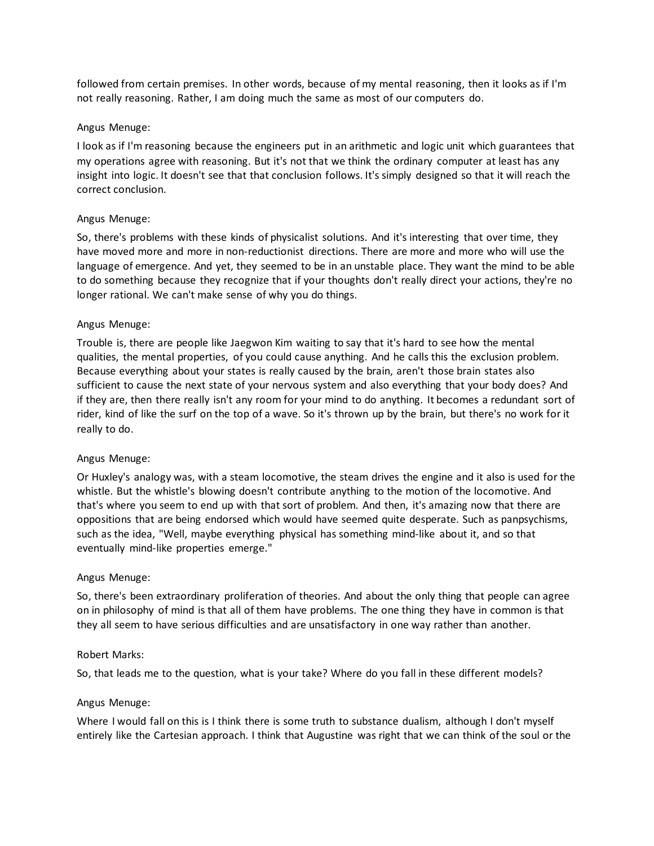followed from certain premises. In other words, because of my mental reasoning, then it looks as if I'm not really reasoning. Rather, I am doing much the same as most of our computers do.

### Angus Menuge:

I look as if I'm reasoning because the engineers put in an arithmetic and logic unit which guarantees that my operations agree with reasoning. But it's not that we think the ordinary computer at least has any insight into logic. It doesn't see that that conclusion follows. It's simply designed so that it will reach the correct conclusion.

### Angus Menuge:

So, there's problems with these kinds of physicalist solutions. And it's interesting that over time, they have moved more and more in non-reductionist directions. There are more and more who will use the language of emergence. And yet, they seemed to be in an unstable place. They want the mind to be able to do something because they recognize that if your thoughts don't really direct your actions, they're no longer rational. We can't make sense of why you do things.

### Angus Menuge:

Trouble is, there are people like Jaegwon Kim waiting to say that it's hard to see how the mental qualities, the mental properties, of you could cause anything. And he calls this the exclusion problem. Because everything about your states is really caused by the brain, aren't those brain states also sufficient to cause the next state of your nervous system and also everything that your body does? And if they are, then there really isn't any room for your mind to do anything. It becomes a redundant sort of rider, kind of like the surf on the top of a wave. So it's thrown up by the brain, but there's no work for it really to do.

#### Angus Menuge:

Or Huxley's analogy was, with a steam locomotive, the steam drives the engine and it also is used for the whistle. But the whistle's blowing doesn't contribute anything to the motion of the locomotive. And that's where you seem to end up with that sort of problem. And then, it's amazing now that there are oppositions that are being endorsed which would have seemed quite desperate. Such as panpsychisms, such as the idea, "Well, maybe everything physical has something mind-like about it, and so that eventually mind-like properties emerge."

#### Angus Menuge:

So, there's been extraordinary proliferation of theories. And about the only thing that people can agree on in philosophy of mind is that all of them have problems. The one thing they have in common is that they all seem to have serious difficulties and are unsatisfactory in one way rather than another.

#### Robert Marks:

So, that leads me to the question, what is your take? Where do you fall in these different models?

#### Angus Menuge:

Where I would fall on this is I think there is some truth to substance dualism, although I don't myself entirely like the Cartesian approach. I think that Augustine was right that we can think of the soul or the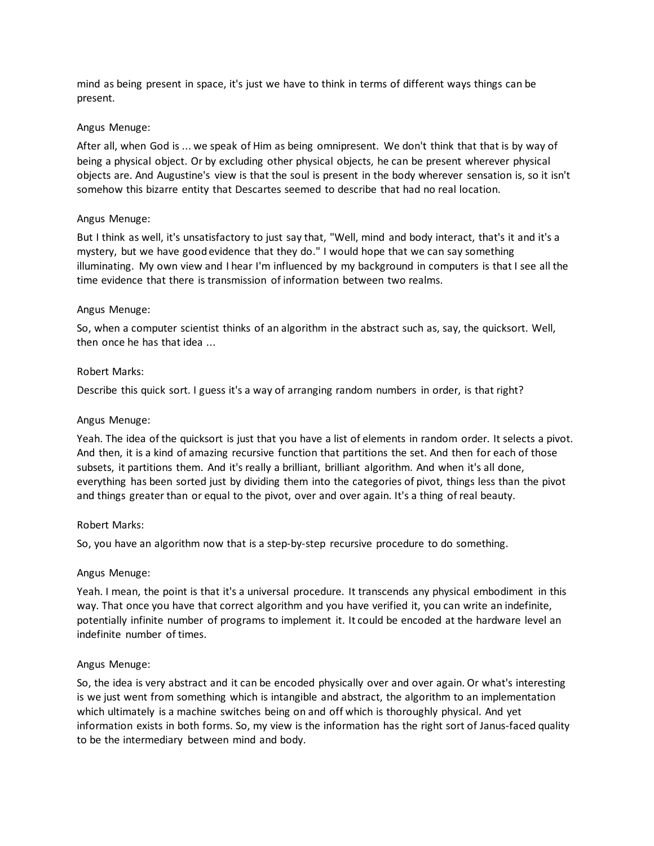mind as being present in space, it's just we have to think in terms of different ways things can be present.

### Angus Menuge:

After all, when God is ... we speak of Him as being omnipresent. We don't think that that is by way of being a physical object. Or by excluding other physical objects, he can be present wherever physical objects are. And Augustine's view is that the soul is present in the body wherever sensation is, so it isn't somehow this bizarre entity that Descartes seemed to describe that had no real location.

### Angus Menuge:

But I think as well, it's unsatisfactory to just say that, "Well, mind and body interact, that's it and it's a mystery, but we have good evidence that they do." I would hope that we can say something illuminating. My own view and I hear I'm influenced by my background in computers is that I see all the time evidence that there is transmission of information between two realms.

### Angus Menuge:

So, when a computer scientist thinks of an algorithm in the abstract such as, say, the quicksort. Well, then once he has that idea ...

### Robert Marks:

Describe this quick sort. I guess it's a way of arranging random numbers in order, is that right?

### Angus Menuge:

Yeah. The idea of the quicksort is just that you have a list of elements in random order. It selects a pivot. And then, it is a kind of amazing recursive function that partitions the set. And then for each of those subsets, it partitions them. And it's really a brilliant, brilliant algorithm. And when it's all done, everything has been sorted just by dividing them into the categories of pivot, things less than the pivot and things greater than or equal to the pivot, over and over again. It's a thing of real beauty.

#### Robert Marks:

So, you have an algorithm now that is a step-by-step recursive procedure to do something.

#### Angus Menuge:

Yeah. I mean, the point is that it's a universal procedure. It transcends any physical embodiment in this way. That once you have that correct algorithm and you have verified it, you can write an indefinite, potentially infinite number of programs to implement it. It could be encoded at the hardware level an indefinite number of times.

# Angus Menuge:

So, the idea is very abstract and it can be encoded physically over and over again. Or what's interesting is we just went from something which is intangible and abstract, the algorithm to an implementation which ultimately is a machine switches being on and off which is thoroughly physical. And yet information exists in both forms. So, my view is the information has the right sort of Janus-faced quality to be the intermediary between mind and body.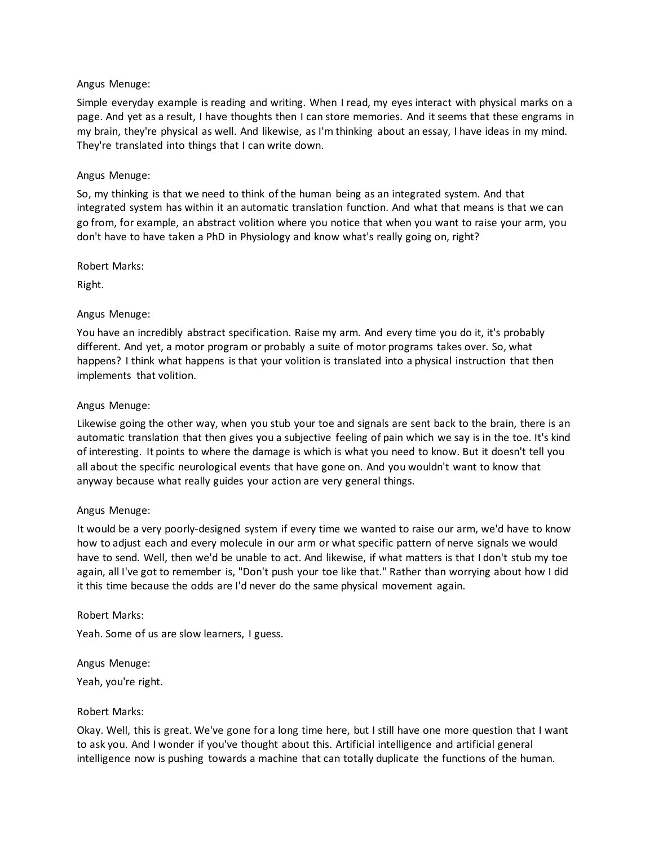Simple everyday example is reading and writing. When I read, my eyes interact with physical marks on a page. And yet as a result, I have thoughts then I can store memories. And it seems that these engrams in my brain, they're physical as well. And likewise, as I'm thinking about an essay, I have ideas in my mind. They're translated into things that I can write down.

### Angus Menuge:

So, my thinking is that we need to think of the human being as an integrated system. And that integrated system has within it an automatic translation function. And what that means is that we can go from, for example, an abstract volition where you notice that when you want to raise your arm, you don't have to have taken a PhD in Physiology and know what's really going on, right?

Robert Marks:

Right.

### Angus Menuge:

You have an incredibly abstract specification. Raise my arm. And every time you do it, it's probably different. And yet, a motor program or probably a suite of motor programs takes over. So, what happens? I think what happens is that your volition is translated into a physical instruction that then implements that volition.

### Angus Menuge:

Likewise going the other way, when you stub your toe and signals are sent back to the brain, there is an automatic translation that then gives you a subjective feeling of pain which we say is in the toe. It's kind of interesting. It points to where the damage is which is what you need to know. But it doesn't tell you all about the specific neurological events that have gone on. And you wouldn't want to know that anyway because what really guides your action are very general things.

#### Angus Menuge:

It would be a very poorly-designed system if every time we wanted to raise our arm, we'd have to know how to adjust each and every molecule in our arm or what specific pattern of nerve signals we would have to send. Well, then we'd be unable to act. And likewise, if what matters is that I don't stub my toe again, all I've got to remember is, "Don't push your toe like that." Rather than worrying about how I did it this time because the odds are I'd never do the same physical movement again.

#### Robert Marks:

Yeah. Some of us are slow learners, I guess.

Angus Menuge:

Yeah, you're right.

#### Robert Marks:

Okay. Well, this is great. We've gone for a long time here, but I still have one more question that I want to ask you. And I wonder if you've thought about this. Artificial intelligence and artificial general intelligence now is pushing towards a machine that can totally duplicate the functions of the human.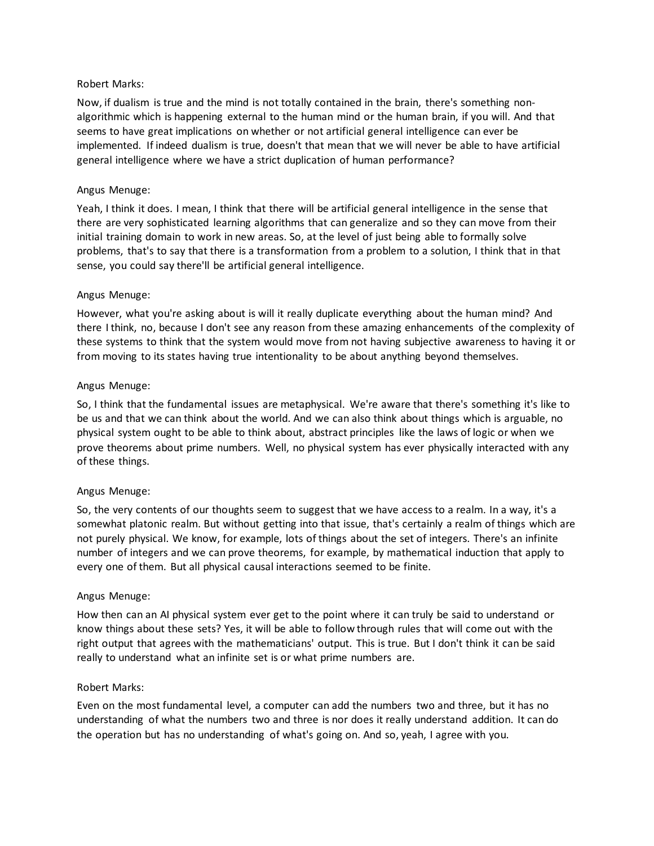### Robert Marks:

Now, if dualism is true and the mind is not totally contained in the brain, there's something nonalgorithmic which is happening external to the human mind or the human brain, if you will. And that seems to have great implications on whether or not artificial general intelligence can ever be implemented. If indeed dualism is true, doesn't that mean that we will never be able to have artificial general intelligence where we have a strict duplication of human performance?

# Angus Menuge:

Yeah, I think it does. I mean, I think that there will be artificial general intelligence in the sense that there are very sophisticated learning algorithms that can generalize and so they can move from their initial training domain to work in new areas. So, at the level of just being able to formally solve problems, that's to say that there is a transformation from a problem to a solution, I think that in that sense, you could say there'll be artificial general intelligence.

### Angus Menuge:

However, what you're asking about is will it really duplicate everything about the human mind? And there I think, no, because I don't see any reason from these amazing enhancements of the complexity of these systems to think that the system would move from not having subjective awareness to having it or from moving to its states having true intentionality to be about anything beyond themselves.

### Angus Menuge:

So, I think that the fundamental issues are metaphysical. We're aware that there's something it's like to be us and that we can think about the world. And we can also think about things which is arguable, no physical system ought to be able to think about, abstract principles like the laws of logic or when we prove theorems about prime numbers. Well, no physical system has ever physically interacted with any of these things.

#### Angus Menuge:

So, the very contents of our thoughts seem to suggest that we have access to a realm. In a way, it's a somewhat platonic realm. But without getting into that issue, that's certainly a realm of things which are not purely physical. We know, for example, lots of things about the set of integers. There's an infinite number of integers and we can prove theorems, for example, by mathematical induction that apply to every one of them. But all physical causal interactions seemed to be finite.

#### Angus Menuge:

How then can an AI physical system ever get to the point where it can truly be said to understand or know things about these sets? Yes, it will be able to follow through rules that will come out with the right output that agrees with the mathematicians' output. This is true. But I don't think it can be said really to understand what an infinite set is or what prime numbers are.

# Robert Marks:

Even on the most fundamental level, a computer can add the numbers two and three, but it has no understanding of what the numbers two and three is nor does it really understand addition. It can do the operation but has no understanding of what's going on. And so, yeah, I agree with you.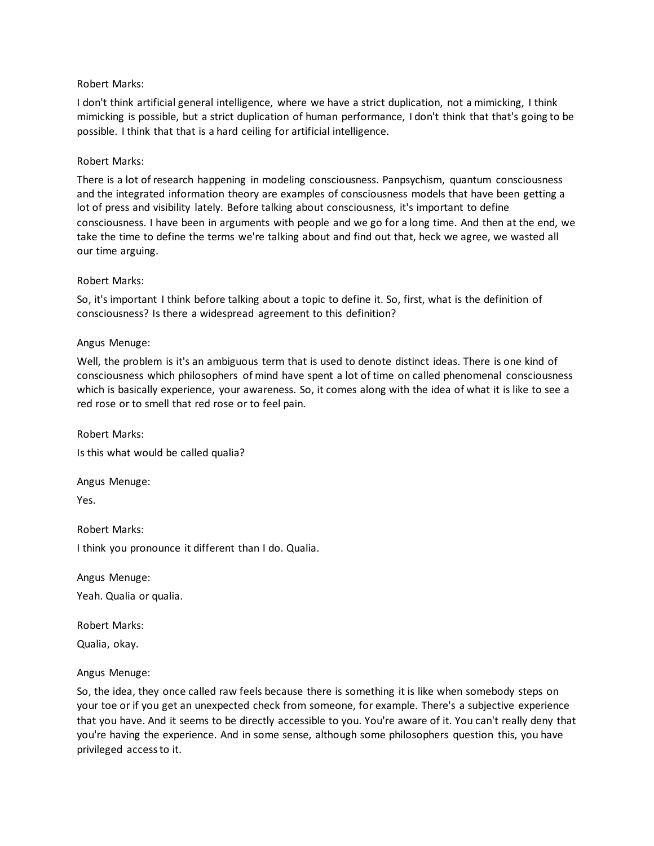### Robert Marks:

I don't think artificial general intelligence, where we have a strict duplication, not a mimicking, I think mimicking is possible, but a strict duplication of human performance, I don't think that that's going to be possible. I think that that is a hard ceiling for artificial intelligence.

### Robert Marks:

There is a lot of research happening in modeling consciousness. Panpsychism, quantum consciousness and the integrated information theory are examples of consciousness models that have been getting a lot of press and visibility lately. Before talking about consciousness, it's important to define consciousness. I have been in arguments with people and we go for a long time. And then at the end, we take the time to define the terms we're talking about and find out that, heck we agree, we wasted all our time arguing.

#### Robert Marks:

So, it's important I think before talking about a topic to define it. So, first, what is the definition of consciousness? Is there a widespread agreement to this definition?

### Angus Menuge:

Well, the problem is it's an ambiguous term that is used to denote distinct ideas. There is one kind of consciousness which philosophers of mind have spent a lot of time on called phenomenal consciousness which is basically experience, your awareness. So, it comes along with the idea of what it is like to see a red rose or to smell that red rose or to feel pain.

Robert Marks: Is this what would be called qualia?

Angus Menuge:

Yes.

Robert Marks: I think you pronounce it different than I do. Qualia.

Angus Menuge: Yeah. Qualia or qualia.

Robert Marks:

Qualia, okay.

#### Angus Menuge:

So, the idea, they once called raw feels because there is something it is like when somebody steps on your toe or if you get an unexpected check from someone, for example. There's a subjective experience that you have. And it seems to be directly accessible to you. You're aware of it. You can't really deny that you're having the experience. And in some sense, although some philosophers question this, you have privileged access to it.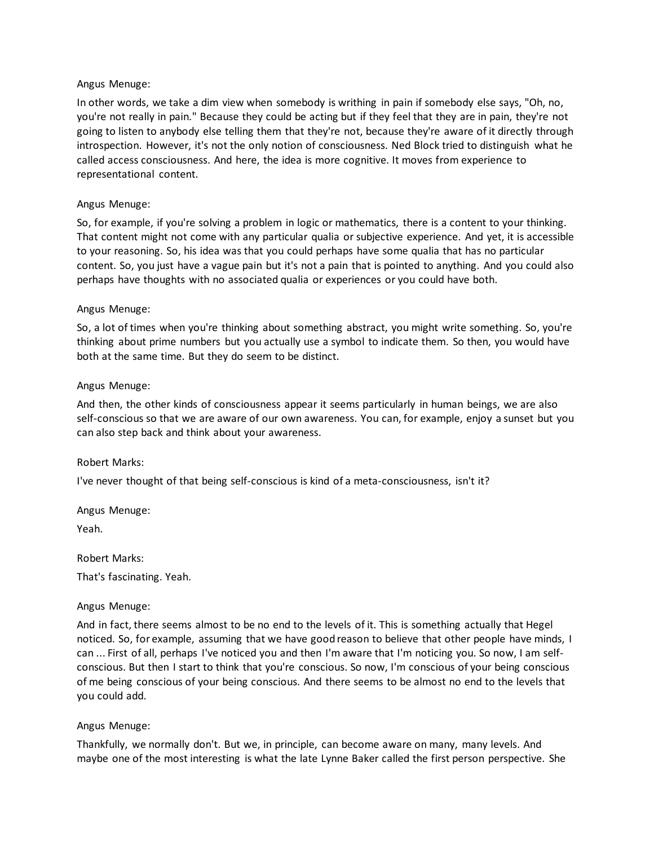In other words, we take a dim view when somebody is writhing in pain if somebody else says, "Oh, no, you're not really in pain." Because they could be acting but if they feel that they are in pain, they're not going to listen to anybody else telling them that they're not, because they're aware of it directly through introspection. However, it's not the only notion of consciousness. Ned Block tried to distinguish what he called access consciousness. And here, the idea is more cognitive. It moves from experience to representational content.

### Angus Menuge:

So, for example, if you're solving a problem in logic or mathematics, there is a content to your thinking. That content might not come with any particular qualia or subjective experience. And yet, it is accessible to your reasoning. So, his idea was that you could perhaps have some qualia that has no particular content. So, you just have a vague pain but it's not a pain that is pointed to anything. And you could also perhaps have thoughts with no associated qualia or experiences or you could have both.

### Angus Menuge:

So, a lot of times when you're thinking about something abstract, you might write something. So, you're thinking about prime numbers but you actually use a symbol to indicate them. So then, you would have both at the same time. But they do seem to be distinct.

#### Angus Menuge:

And then, the other kinds of consciousness appear it seems particularly in human beings, we are also self-conscious so that we are aware of our own awareness. You can, for example, enjoy a sunset but you can also step back and think about your awareness.

#### Robert Marks:

I've never thought of that being self-conscious is kind of a meta-consciousness, isn't it?

Angus Menuge:

Yeah.

Robert Marks: That's fascinating. Yeah.

#### Angus Menuge:

And in fact, there seems almost to be no end to the levels of it. This is something actually that Hegel noticed. So, for example, assuming that we have good reason to believe that other people have minds, I can ... First of all, perhaps I've noticed you and then I'm aware that I'm noticing you. So now, I am selfconscious. But then I start to think that you're conscious. So now, I'm conscious of your being conscious of me being conscious of your being conscious. And there seems to be almost no end to the levels that you could add.

#### Angus Menuge:

Thankfully, we normally don't. But we, in principle, can become aware on many, many levels. And maybe one of the most interesting is what the late Lynne Baker called the first person perspective. She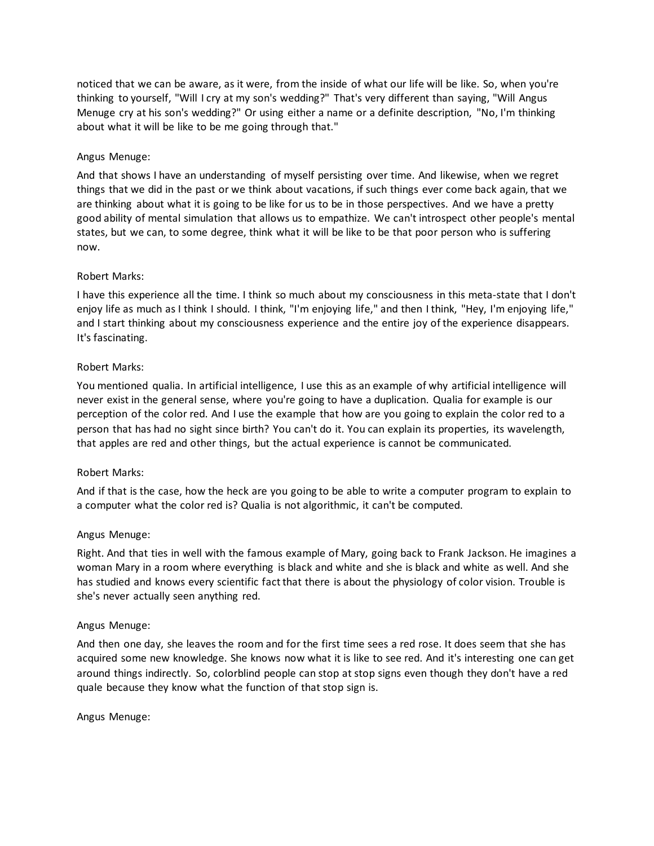noticed that we can be aware, as it were, from the inside of what our life will be like. So, when you're thinking to yourself, "Will I cry at my son's wedding?" That's very different than saying, "Will Angus Menuge cry at his son's wedding?" Or using either a name or a definite description, "No, I'm thinking about what it will be like to be me going through that."

# Angus Menuge:

And that shows I have an understanding of myself persisting over time. And likewise, when we regret things that we did in the past or we think about vacations, if such things ever come back again, that we are thinking about what it is going to be like for us to be in those perspectives. And we have a pretty good ability of mental simulation that allows us to empathize. We can't introspect other people's mental states, but we can, to some degree, think what it will be like to be that poor person who is suffering now.

### Robert Marks:

I have this experience all the time. I think so much about my consciousness in this meta-state that I don't enjoy life as much as I think I should. I think, "I'm enjoying life," and then I think, "Hey, I'm enjoying life," and I start thinking about my consciousness experience and the entire joy of the experience disappears. It's fascinating.

### Robert Marks:

You mentioned qualia. In artificial intelligence, I use this as an example of why artificial intelligence will never exist in the general sense, where you're going to have a duplication. Qualia for example is our perception of the color red. And I use the example that how are you going to explain the color red to a person that has had no sight since birth? You can't do it. You can explain its properties, its wavelength, that apples are red and other things, but the actual experience is cannot be communicated.

#### Robert Marks:

And if that is the case, how the heck are you going to be able to write a computer program to explain to a computer what the color red is? Qualia is not algorithmic, it can't be computed.

#### Angus Menuge:

Right. And that ties in well with the famous example of Mary, going back to Frank Jackson. He imagines a woman Mary in a room where everything is black and white and she is black and white as well. And she has studied and knows every scientific fact that there is about the physiology of color vision. Trouble is she's never actually seen anything red.

#### Angus Menuge:

And then one day, she leaves the room and for the first time sees a red rose. It does seem that she has acquired some new knowledge. She knows now what it is like to see red. And it's interesting one can get around things indirectly. So, colorblind people can stop at stop signs even though they don't have a red quale because they know what the function of that stop sign is.

Angus Menuge: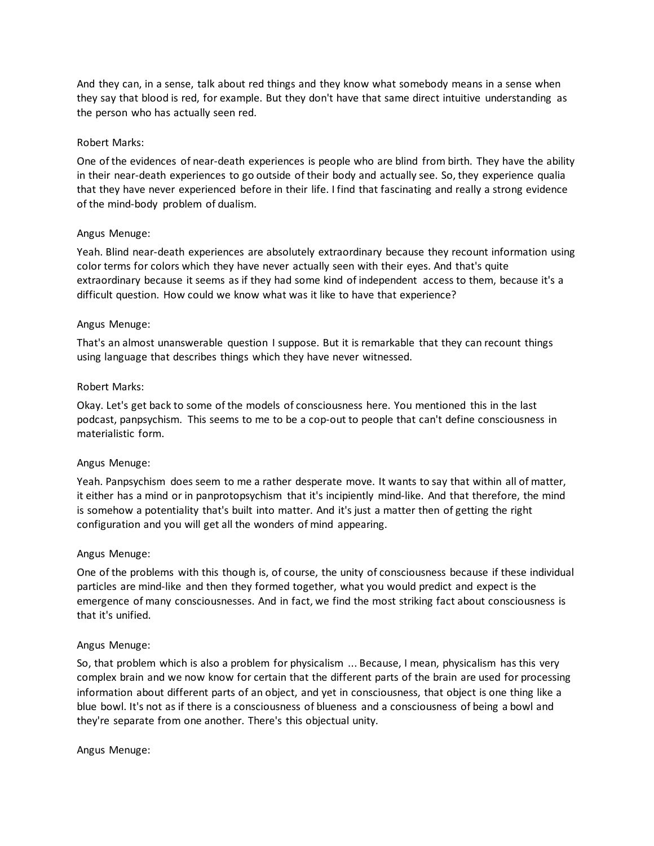And they can, in a sense, talk about red things and they know what somebody means in a sense when they say that blood is red, for example. But they don't have that same direct intuitive understanding as the person who has actually seen red.

### Robert Marks:

One of the evidences of near-death experiences is people who are blind from birth. They have the ability in their near-death experiences to go outside of their body and actually see. So, they experience qualia that they have never experienced before in their life. I find that fascinating and really a strong evidence of the mind-body problem of dualism.

### Angus Menuge:

Yeah. Blind near-death experiences are absolutely extraordinary because they recount information using color terms for colors which they have never actually seen with their eyes. And that's quite extraordinary because it seems as if they had some kind of independent access to them, because it's a difficult question. How could we know what was it like to have that experience?

### Angus Menuge:

That's an almost unanswerable question I suppose. But it is remarkable that they can recount things using language that describes things which they have never witnessed.

#### Robert Marks:

Okay. Let's get back to some of the models of consciousness here. You mentioned this in the last podcast, panpsychism. This seems to me to be a cop-out to people that can't define consciousness in materialistic form.

#### Angus Menuge:

Yeah. Panpsychism does seem to me a rather desperate move. It wants to say that within all of matter, it either has a mind or in panprotopsychism that it's incipiently mind-like. And that therefore, the mind is somehow a potentiality that's built into matter. And it's just a matter then of getting the right configuration and you will get all the wonders of mind appearing.

#### Angus Menuge:

One of the problems with this though is, of course, the unity of consciousness because if these individual particles are mind-like and then they formed together, what you would predict and expect is the emergence of many consciousnesses. And in fact, we find the most striking fact about consciousness is that it's unified.

#### Angus Menuge:

So, that problem which is also a problem for physicalism ... Because, I mean, physicalism has this very complex brain and we now know for certain that the different parts of the brain are used for processing information about different parts of an object, and yet in consciousness, that object is one thing like a blue bowl. It's not as if there is a consciousness of blueness and a consciousness of being a bowl and they're separate from one another. There's this objectual unity.

#### Angus Menuge: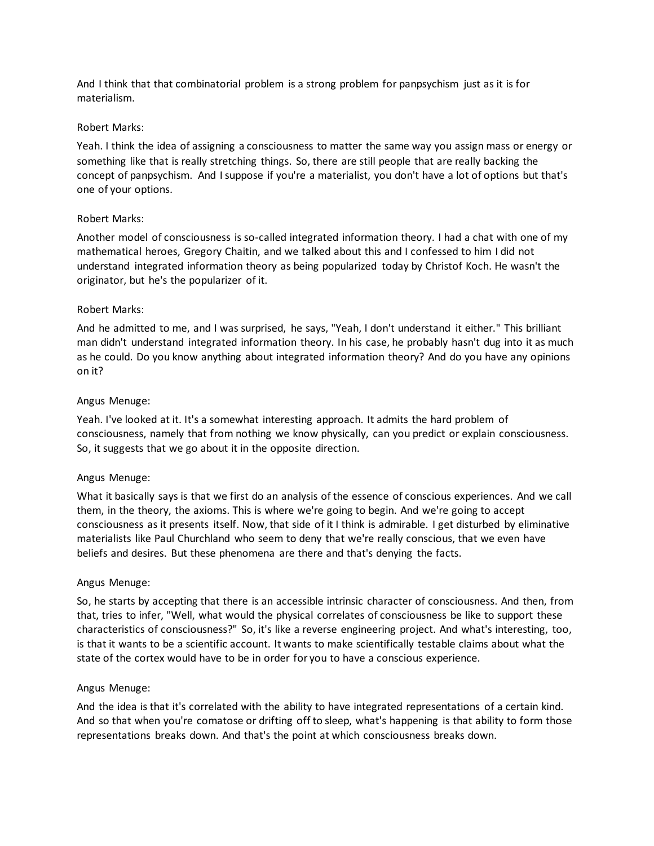And I think that that combinatorial problem is a strong problem for panpsychism just as it is for materialism.

### Robert Marks:

Yeah. I think the idea of assigning a consciousness to matter the same way you assign mass or energy or something like that is really stretching things. So, there are still people that are really backing the concept of panpsychism. And I suppose if you're a materialist, you don't have a lot of options but that's one of your options.

### Robert Marks:

Another model of consciousness is so-called integrated information theory. I had a chat with one of my mathematical heroes, Gregory Chaitin, and we talked about this and I confessed to him I did not understand integrated information theory as being popularized today by Christof Koch. He wasn't the originator, but he's the popularizer of it.

### Robert Marks:

And he admitted to me, and I was surprised, he says, "Yeah, I don't understand it either." This brilliant man didn't understand integrated information theory. In his case, he probably hasn't dug into it as much as he could. Do you know anything about integrated information theory? And do you have any opinions on it?

### Angus Menuge:

Yeah. I've looked at it. It's a somewhat interesting approach. It admits the hard problem of consciousness, namely that from nothing we know physically, can you predict or explain consciousness. So, it suggests that we go about it in the opposite direction.

# Angus Menuge:

What it basically says is that we first do an analysis of the essence of conscious experiences. And we call them, in the theory, the axioms. This is where we're going to begin. And we're going to accept consciousness as it presents itself. Now, that side of it I think is admirable. I get disturbed by eliminative materialists like Paul Churchland who seem to deny that we're really conscious, that we even have beliefs and desires. But these phenomena are there and that's denying the facts.

#### Angus Menuge:

So, he starts by accepting that there is an accessible intrinsic character of consciousness. And then, from that, tries to infer, "Well, what would the physical correlates of consciousness be like to support these characteristics of consciousness?" So, it's like a reverse engineering project. And what's interesting, too, is that it wants to be a scientific account. It wants to make scientifically testable claims about what the state of the cortex would have to be in order for you to have a conscious experience.

#### Angus Menuge:

And the idea is that it's correlated with the ability to have integrated representations of a certain kind. And so that when you're comatose or drifting off to sleep, what's happening is that ability to form those representations breaks down. And that's the point at which consciousness breaks down.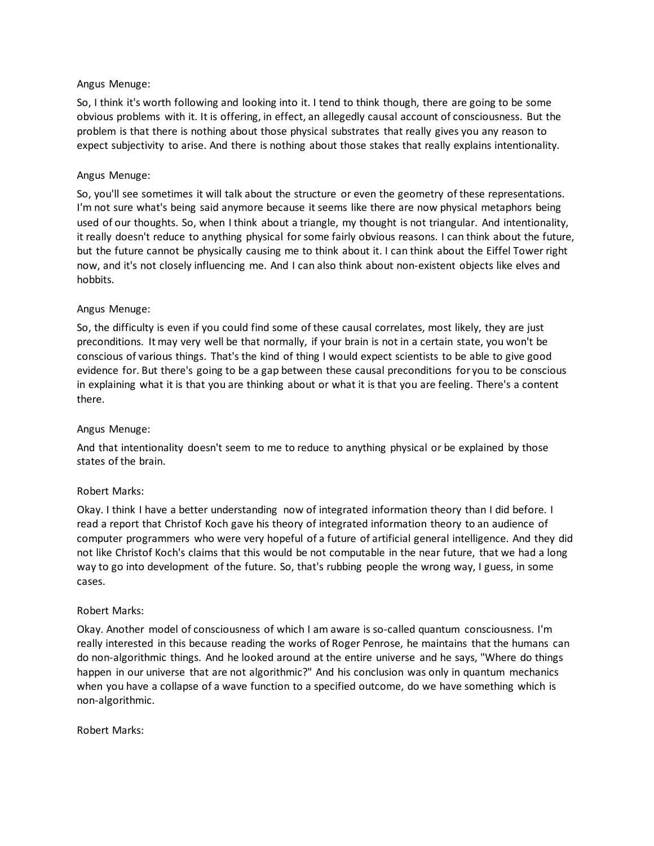So, I think it's worth following and looking into it. I tend to think though, there are going to be some obvious problems with it. It is offering, in effect, an allegedly causal account of consciousness. But the problem is that there is nothing about those physical substrates that really gives you any reason to expect subjectivity to arise. And there is nothing about those stakes that really explains intentionality.

### Angus Menuge:

So, you'll see sometimes it will talk about the structure or even the geometry of these representations. I'm not sure what's being said anymore because it seems like there are now physical metaphors being used of our thoughts. So, when I think about a triangle, my thought is not triangular. And intentionality, it really doesn't reduce to anything physical for some fairly obvious reasons. I can think about the future, but the future cannot be physically causing me to think about it. I can think about the Eiffel Tower right now, and it's not closely influencing me. And I can also think about non-existent objects like elves and hobbits.

### Angus Menuge:

So, the difficulty is even if you could find some of these causal correlates, most likely, they are just preconditions. It may very well be that normally, if your brain is not in a certain state, you won't be conscious of various things. That's the kind of thing I would expect scientists to be able to give good evidence for. But there's going to be a gap between these causal preconditions for you to be conscious in explaining what it is that you are thinking about or what it is that you are feeling. There's a content there.

# Angus Menuge:

And that intentionality doesn't seem to me to reduce to anything physical or be explained by those states of the brain.

# Robert Marks:

Okay. I think I have a better understanding now of integrated information theory than I did before. I read a report that Christof Koch gave his theory of integrated information theory to an audience of computer programmers who were very hopeful of a future of artificial general intelligence. And they did not like Christof Koch's claims that this would be not computable in the near future, that we had a long way to go into development of the future. So, that's rubbing people the wrong way, I guess, in some cases.

#### Robert Marks:

Okay. Another model of consciousness of which I am aware is so-called quantum consciousness. I'm really interested in this because reading the works of Roger Penrose, he maintains that the humans can do non-algorithmic things. And he looked around at the entire universe and he says, "Where do things happen in our universe that are not algorithmic?" And his conclusion was only in quantum mechanics when you have a collapse of a wave function to a specified outcome, do we have something which is non-algorithmic.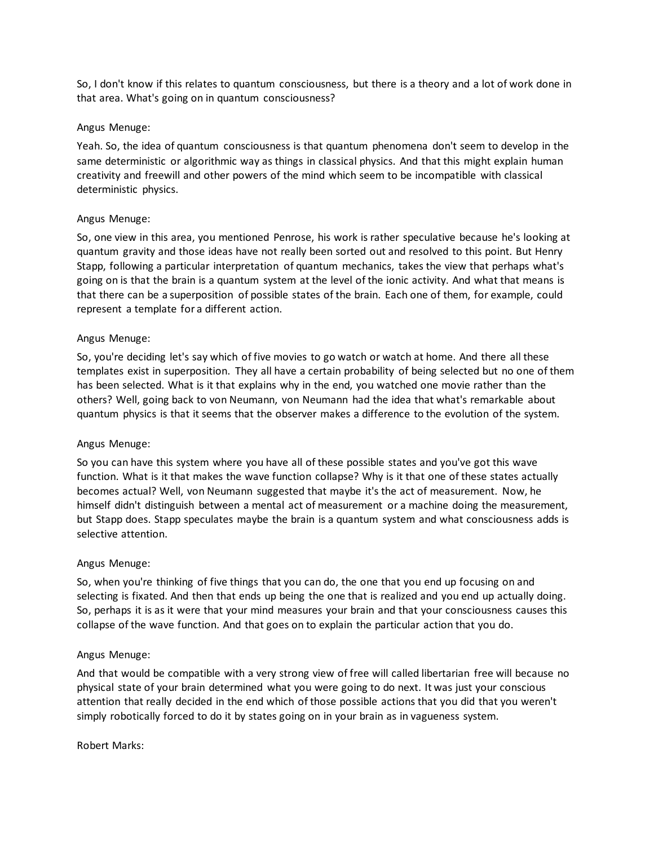So, I don't know if this relates to quantum consciousness, but there is a theory and a lot of work done in that area. What's going on in quantum consciousness?

### Angus Menuge:

Yeah. So, the idea of quantum consciousness is that quantum phenomena don't seem to develop in the same deterministic or algorithmic way as things in classical physics. And that this might explain human creativity and freewill and other powers of the mind which seem to be incompatible with classical deterministic physics.

### Angus Menuge:

So, one view in this area, you mentioned Penrose, his work is rather speculative because he's looking at quantum gravity and those ideas have not really been sorted out and resolved to this point. But Henry Stapp, following a particular interpretation of quantum mechanics, takes the view that perhaps what's going on is that the brain is a quantum system at the level of the ionic activity. And what that means is that there can be a superposition of possible states of the brain. Each one of them, for example, could represent a template for a different action.

### Angus Menuge:

So, you're deciding let's say which of five movies to go watch or watch at home. And there all these templates exist in superposition. They all have a certain probability of being selected but no one of them has been selected. What is it that explains why in the end, you watched one movie rather than the others? Well, going back to von Neumann, von Neumann had the idea that what's remarkable about quantum physics is that it seems that the observer makes a difference to the evolution of the system.

#### Angus Menuge:

So you can have this system where you have all of these possible states and you've got this wave function. What is it that makes the wave function collapse? Why is it that one of these states actually becomes actual? Well, von Neumann suggested that maybe it's the act of measurement. Now, he himself didn't distinguish between a mental act of measurement or a machine doing the measurement, but Stapp does. Stapp speculates maybe the brain is a quantum system and what consciousness adds is selective attention.

#### Angus Menuge:

So, when you're thinking of five things that you can do, the one that you end up focusing on and selecting is fixated. And then that ends up being the one that is realized and you end up actually doing. So, perhaps it is as it were that your mind measures your brain and that your consciousness causes this collapse of the wave function. And that goes on to explain the particular action that you do.

#### Angus Menuge:

And that would be compatible with a very strong view of free will called libertarian free will because no physical state of your brain determined what you were going to do next. It was just your conscious attention that really decided in the end which of those possible actions that you did that you weren't simply robotically forced to do it by states going on in your brain as in vagueness system.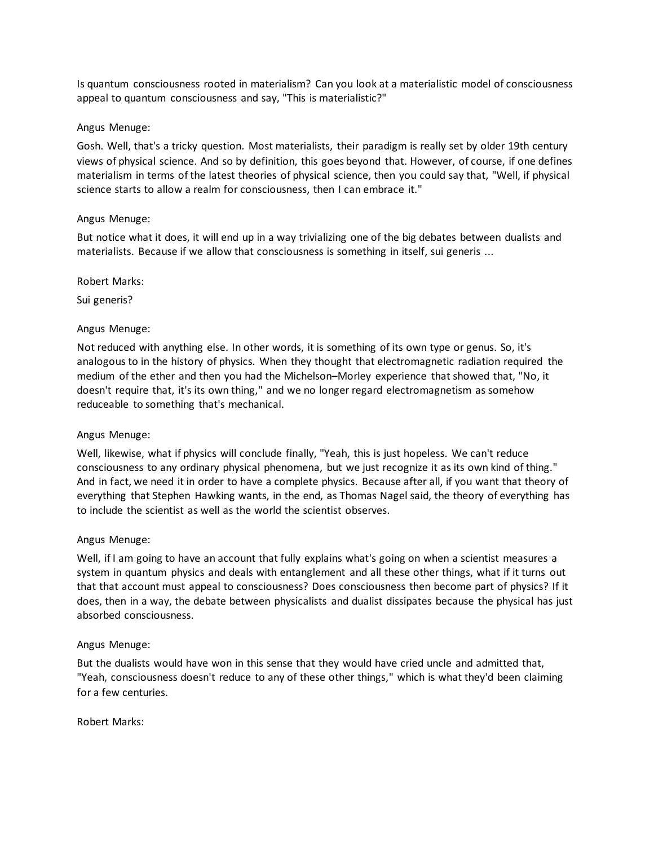Is quantum consciousness rooted in materialism? Can you look at a materialistic model of consciousness appeal to quantum consciousness and say, "This is materialistic?"

### Angus Menuge:

Gosh. Well, that's a tricky question. Most materialists, their paradigm is really set by older 19th century views of physical science. And so by definition, this goes beyond that. However, of course, if one defines materialism in terms of the latest theories of physical science, then you could say that, "Well, if physical science starts to allow a realm for consciousness, then I can embrace it."

### Angus Menuge:

But notice what it does, it will end up in a way trivializing one of the big debates between dualists and materialists. Because if we allow that consciousness is something in itself, sui generis ...

### Robert Marks:

Sui generis?

### Angus Menuge:

Not reduced with anything else. In other words, it is something of its own type or genus. So, it's analogous to in the history of physics. When they thought that electromagnetic radiation required the medium of the ether and then you had the Michelson–Morley experience that showed that, "No, it doesn't require that, it's its own thing," and we no longer regard electromagnetism as somehow reduceable to something that's mechanical.

#### Angus Menuge:

Well, likewise, what if physics will conclude finally, "Yeah, this is just hopeless. We can't reduce consciousness to any ordinary physical phenomena, but we just recognize it as its own kind of thing." And in fact, we need it in order to have a complete physics. Because after all, if you want that theory of everything that Stephen Hawking wants, in the end, as Thomas Nagel said, the theory of everything has to include the scientist as well as the world the scientist observes.

#### Angus Menuge:

Well, if I am going to have an account that fully explains what's going on when a scientist measures a system in quantum physics and deals with entanglement and all these other things, what if it turns out that that account must appeal to consciousness? Does consciousness then become part of physics? If it does, then in a way, the debate between physicalists and dualist dissipates because the physical has just absorbed consciousness.

#### Angus Menuge:

But the dualists would have won in this sense that they would have cried uncle and admitted that, "Yeah, consciousness doesn't reduce to any of these other things," which is what they'd been claiming for a few centuries.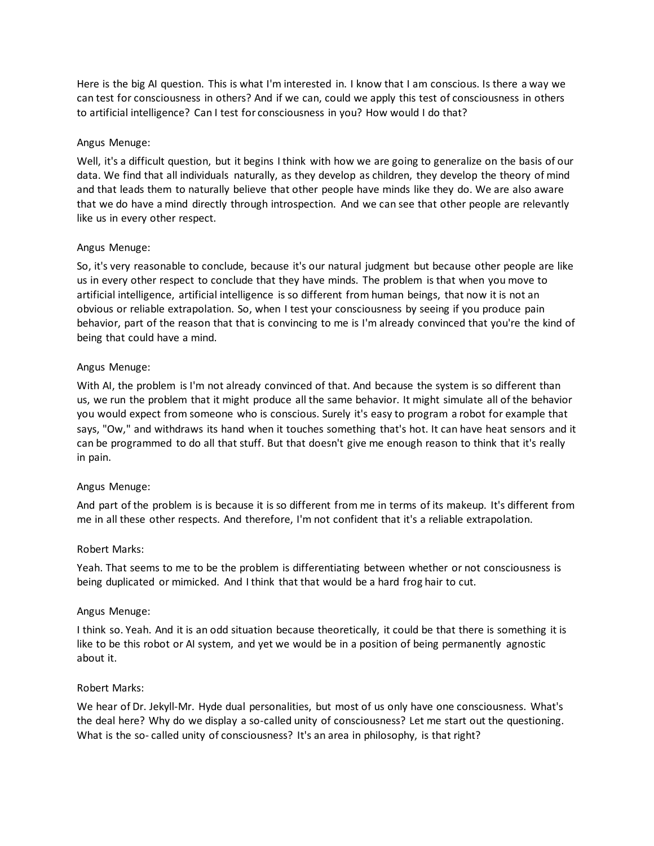Here is the big AI question. This is what I'm interested in. I know that I am conscious. Is there a way we can test for consciousness in others? And if we can, could we apply this test of consciousness in others to artificial intelligence? Can I test for consciousness in you? How would I do that?

#### Angus Menuge:

Well, it's a difficult question, but it begins I think with how we are going to generalize on the basis of our data. We find that all individuals naturally, as they develop as children, they develop the theory of mind and that leads them to naturally believe that other people have minds like they do. We are also aware that we do have a mind directly through introspection. And we can see that other people are relevantly like us in every other respect.

#### Angus Menuge:

So, it's very reasonable to conclude, because it's our natural judgment but because other people are like us in every other respect to conclude that they have minds. The problem is that when you move to artificial intelligence, artificial intelligence is so different from human beings, that now it is not an obvious or reliable extrapolation. So, when I test your consciousness by seeing if you produce pain behavior, part of the reason that that is convincing to me is I'm already convinced that you're the kind of being that could have a mind.

#### Angus Menuge:

With AI, the problem is I'm not already convinced of that. And because the system is so different than us, we run the problem that it might produce all the same behavior. It might simulate all of the behavior you would expect from someone who is conscious. Surely it's easy to program a robot for example that says, "Ow," and withdraws its hand when it touches something that's hot. It can have heat sensors and it can be programmed to do all that stuff. But that doesn't give me enough reason to think that it's really in pain.

#### Angus Menuge:

And part of the problem is is because it is so different from me in terms of its makeup. It's different from me in all these other respects. And therefore, I'm not confident that it's a reliable extrapolation.

#### Robert Marks:

Yeah. That seems to me to be the problem is differentiating between whether or not consciousness is being duplicated or mimicked. And I think that that would be a hard frog hair to cut.

#### Angus Menuge:

I think so. Yeah. And it is an odd situation because theoretically, it could be that there is something it is like to be this robot or AI system, and yet we would be in a position of being permanently agnostic about it.

#### Robert Marks:

We hear of Dr. Jekyll-Mr. Hyde dual personalities, but most of us only have one consciousness. What's the deal here? Why do we display a so-called unity of consciousness? Let me start out the questioning. What is the so- called unity of consciousness? It's an area in philosophy, is that right?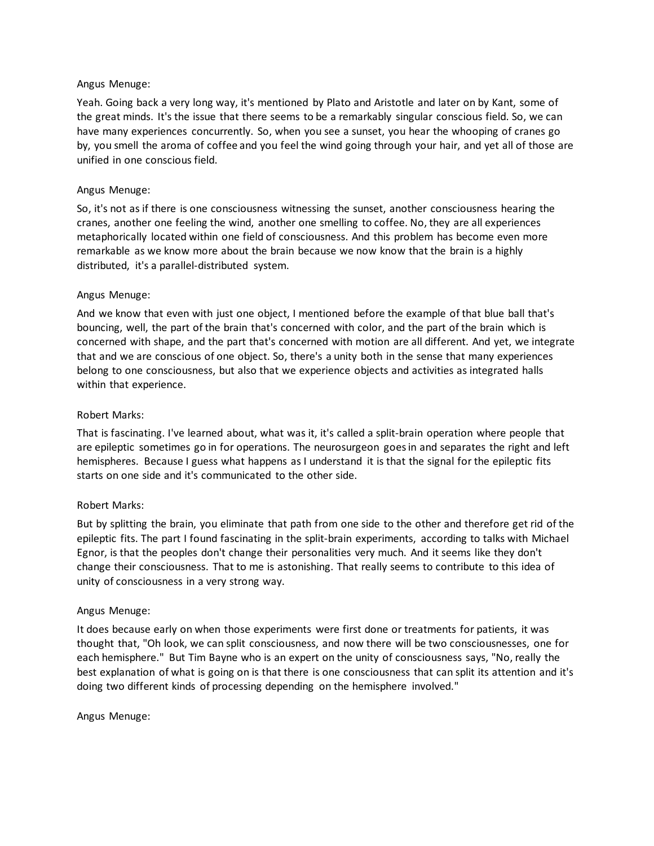Yeah. Going back a very long way, it's mentioned by Plato and Aristotle and later on by Kant, some of the great minds. It's the issue that there seems to be a remarkably singular conscious field. So, we can have many experiences concurrently. So, when you see a sunset, you hear the whooping of cranes go by, you smell the aroma of coffee and you feel the wind going through your hair, and yet all of those are unified in one conscious field.

### Angus Menuge:

So, it's not as if there is one consciousness witnessing the sunset, another consciousness hearing the cranes, another one feeling the wind, another one smelling to coffee. No, they are all experiences metaphorically located within one field of consciousness. And this problem has become even more remarkable as we know more about the brain because we now know that the brain is a highly distributed, it's a parallel-distributed system.

### Angus Menuge:

And we know that even with just one object, I mentioned before the example of that blue ball that's bouncing, well, the part of the brain that's concerned with color, and the part of the brain which is concerned with shape, and the part that's concerned with motion are all different. And yet, we integrate that and we are conscious of one object. So, there's a unity both in the sense that many experiences belong to one consciousness, but also that we experience objects and activities as integrated halls within that experience.

### Robert Marks:

That is fascinating. I've learned about, what was it, it's called a split-brain operation where people that are epileptic sometimes go in for operations. The neurosurgeon goes in and separates the right and left hemispheres. Because I guess what happens as I understand it is that the signal for the epileptic fits starts on one side and it's communicated to the other side.

# Robert Marks:

But by splitting the brain, you eliminate that path from one side to the other and therefore get rid of the epileptic fits. The part I found fascinating in the split-brain experiments, according to talks with Michael Egnor, is that the peoples don't change their personalities very much. And it seems like they don't change their consciousness. That to me is astonishing. That really seems to contribute to this idea of unity of consciousness in a very strong way.

#### Angus Menuge:

It does because early on when those experiments were first done or treatments for patients, it was thought that, "Oh look, we can split consciousness, and now there will be two consciousnesses, one for each hemisphere." But Tim Bayne who is an expert on the unity of consciousness says, "No, really the best explanation of what is going on is that there is one consciousness that can split its attention and it's doing two different kinds of processing depending on the hemisphere involved."

#### Angus Menuge: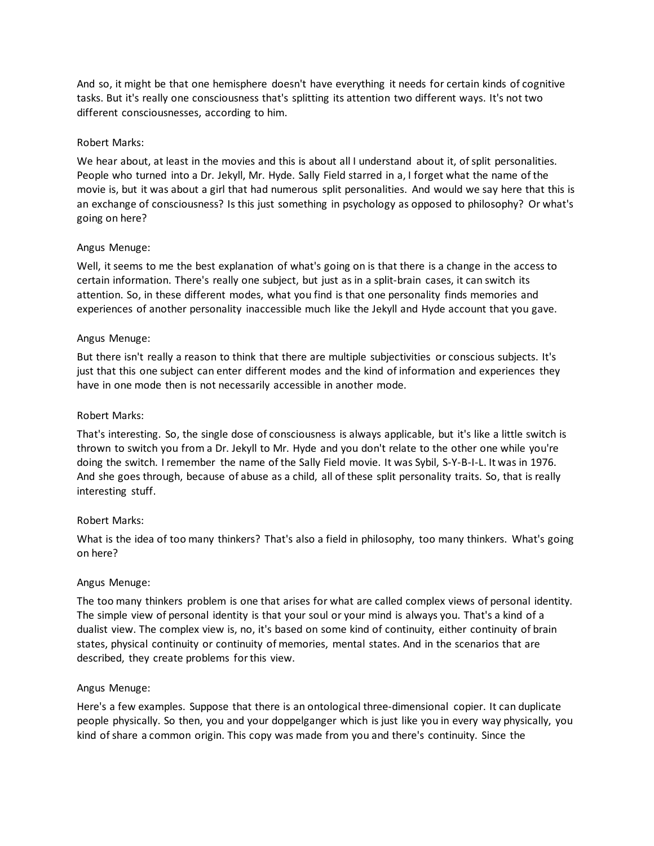And so, it might be that one hemisphere doesn't have everything it needs for certain kinds of cognitive tasks. But it's really one consciousness that's splitting its attention two different ways. It's not two different consciousnesses, according to him.

### Robert Marks:

We hear about, at least in the movies and this is about all I understand about it, of split personalities. People who turned into a Dr. Jekyll, Mr. Hyde. Sally Field starred in a, I forget what the name of the movie is, but it was about a girl that had numerous split personalities. And would we say here that this is an exchange of consciousness? Is this just something in psychology as opposed to philosophy? Or what's going on here?

### Angus Menuge:

Well, it seems to me the best explanation of what's going on is that there is a change in the access to certain information. There's really one subject, but just as in a split-brain cases, it can switch its attention. So, in these different modes, what you find is that one personality finds memories and experiences of another personality inaccessible much like the Jekyll and Hyde account that you gave.

### Angus Menuge:

But there isn't really a reason to think that there are multiple subjectivities or conscious subjects. It's just that this one subject can enter different modes and the kind of information and experiences they have in one mode then is not necessarily accessible in another mode.

### Robert Marks:

That's interesting. So, the single dose of consciousness is always applicable, but it's like a little switch is thrown to switch you from a Dr. Jekyll to Mr. Hyde and you don't relate to the other one while you're doing the switch. I remember the name of the Sally Field movie. It was Sybil, S-Y-B-I-L. It was in 1976. And she goes through, because of abuse as a child, all of these split personality traits. So, that is really interesting stuff.

# Robert Marks:

What is the idea of too many thinkers? That's also a field in philosophy, too many thinkers. What's going on here?

#### Angus Menuge:

The too many thinkers problem is one that arises for what are called complex views of personal identity. The simple view of personal identity is that your soul or your mind is always you. That's a kind of a dualist view. The complex view is, no, it's based on some kind of continuity, either continuity of brain states, physical continuity or continuity of memories, mental states. And in the scenarios that are described, they create problems for this view.

#### Angus Menuge:

Here's a few examples. Suppose that there is an ontological three-dimensional copier. It can duplicate people physically. So then, you and your doppelganger which is just like you in every way physically, you kind of share a common origin. This copy was made from you and there's continuity. Since the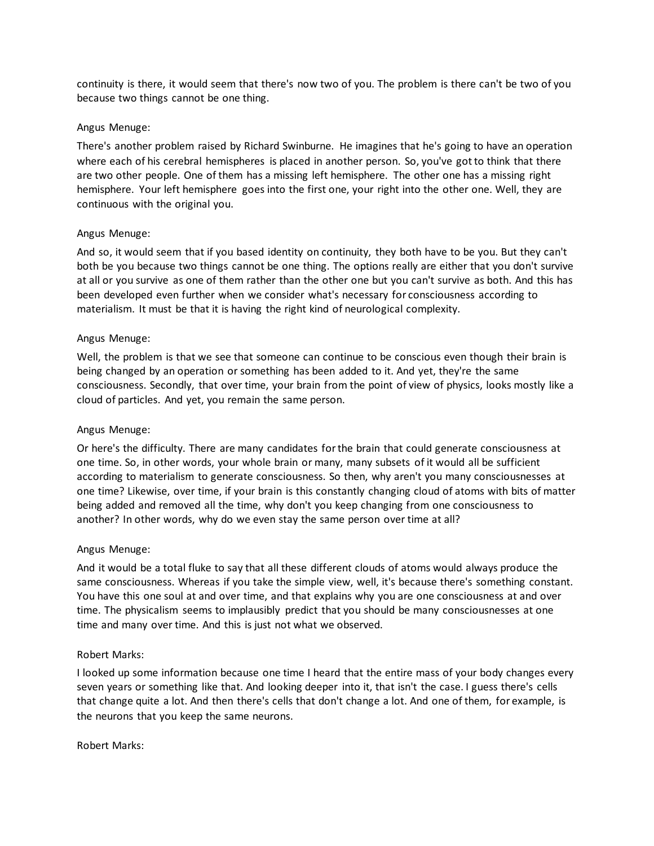continuity is there, it would seem that there's now two of you. The problem is there can't be two of you because two things cannot be one thing.

### Angus Menuge:

There's another problem raised by Richard Swinburne. He imagines that he's going to have an operation where each of his cerebral hemispheres is placed in another person. So, you've got to think that there are two other people. One of them has a missing left hemisphere. The other one has a missing right hemisphere. Your left hemisphere goes into the first one, your right into the other one. Well, they are continuous with the original you.

### Angus Menuge:

And so, it would seem that if you based identity on continuity, they both have to be you. But they can't both be you because two things cannot be one thing. The options really are either that you don't survive at all or you survive as one of them rather than the other one but you can't survive as both. And this has been developed even further when we consider what's necessary for consciousness according to materialism. It must be that it is having the right kind of neurological complexity.

### Angus Menuge:

Well, the problem is that we see that someone can continue to be conscious even though their brain is being changed by an operation or something has been added to it. And yet, they're the same consciousness. Secondly, that over time, your brain from the point of view of physics, looks mostly like a cloud of particles. And yet, you remain the same person.

# Angus Menuge:

Or here's the difficulty. There are many candidates for the brain that could generate consciousness at one time. So, in other words, your whole brain or many, many subsets of it would all be sufficient according to materialism to generate consciousness. So then, why aren't you many consciousnesses at one time? Likewise, over time, if your brain is this constantly changing cloud of atoms with bits of matter being added and removed all the time, why don't you keep changing from one consciousness to another? In other words, why do we even stay the same person over time at all?

#### Angus Menuge:

And it would be a total fluke to say that all these different clouds of atoms would always produce the same consciousness. Whereas if you take the simple view, well, it's because there's something constant. You have this one soul at and over time, and that explains why you are one consciousness at and over time. The physicalism seems to implausibly predict that you should be many consciousnesses at one time and many over time. And this is just not what we observed.

#### Robert Marks:

I looked up some information because one time I heard that the entire mass of your body changes every seven years or something like that. And looking deeper into it, that isn't the case. I guess there's cells that change quite a lot. And then there's cells that don't change a lot. And one of them, for example, is the neurons that you keep the same neurons.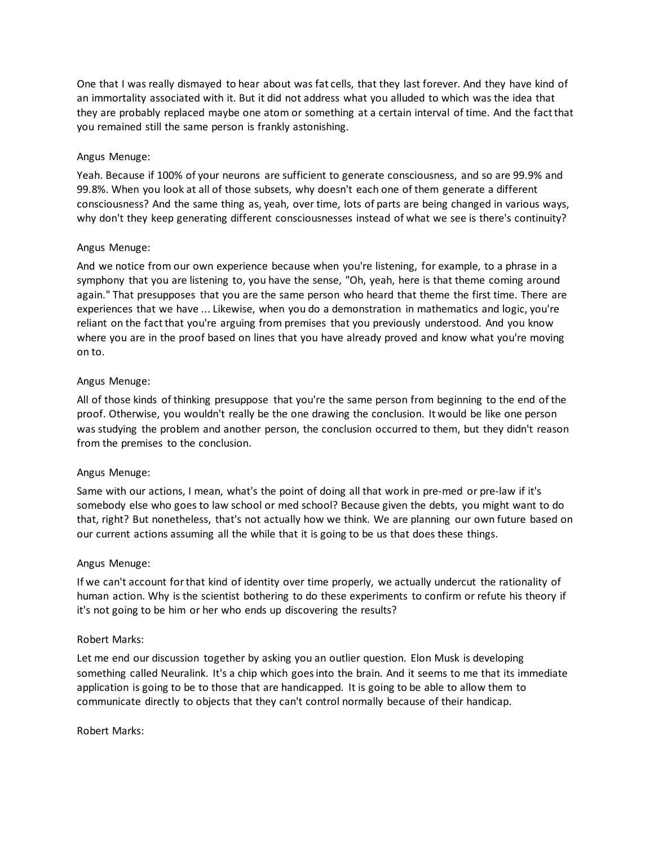One that I was really dismayed to hear about was fat cells, that they last forever. And they have kind of an immortality associated with it. But it did not address what you alluded to which was the idea that they are probably replaced maybe one atom or something at a certain interval of time. And the fact that you remained still the same person is frankly astonishing.

### Angus Menuge:

Yeah. Because if 100% of your neurons are sufficient to generate consciousness, and so are 99.9% and 99.8%. When you look at all of those subsets, why doesn't each one of them generate a different consciousness? And the same thing as, yeah, over time, lots of parts are being changed in various ways, why don't they keep generating different consciousnesses instead of what we see is there's continuity?

### Angus Menuge:

And we notice from our own experience because when you're listening, for example, to a phrase in a symphony that you are listening to, you have the sense, "Oh, yeah, here is that theme coming around again." That presupposes that you are the same person who heard that theme the first time. There are experiences that we have ... Likewise, when you do a demonstration in mathematics and logic, you're reliant on the fact that you're arguing from premises that you previously understood. And you know where you are in the proof based on lines that you have already proved and know what you're moving on to.

### Angus Menuge:

All of those kinds of thinking presuppose that you're the same person from beginning to the end of the proof. Otherwise, you wouldn't really be the one drawing the conclusion. It would be like one person was studying the problem and another person, the conclusion occurred to them, but they didn't reason from the premises to the conclusion.

#### Angus Menuge:

Same with our actions, I mean, what's the point of doing all that work in pre-med or pre-law if it's somebody else who goes to law school or med school? Because given the debts, you might want to do that, right? But nonetheless, that's not actually how we think. We are planning our own future based on our current actions assuming all the while that it is going to be us that does these things.

#### Angus Menuge:

If we can't account for that kind of identity over time properly, we actually undercut the rationality of human action. Why is the scientist bothering to do these experiments to confirm or refute his theory if it's not going to be him or her who ends up discovering the results?

#### Robert Marks:

Let me end our discussion together by asking you an outlier question. Elon Musk is developing something called Neuralink. It's a chip which goes into the brain. And it seems to me that its immediate application is going to be to those that are handicapped. It is going to be able to allow them to communicate directly to objects that they can't control normally because of their handicap.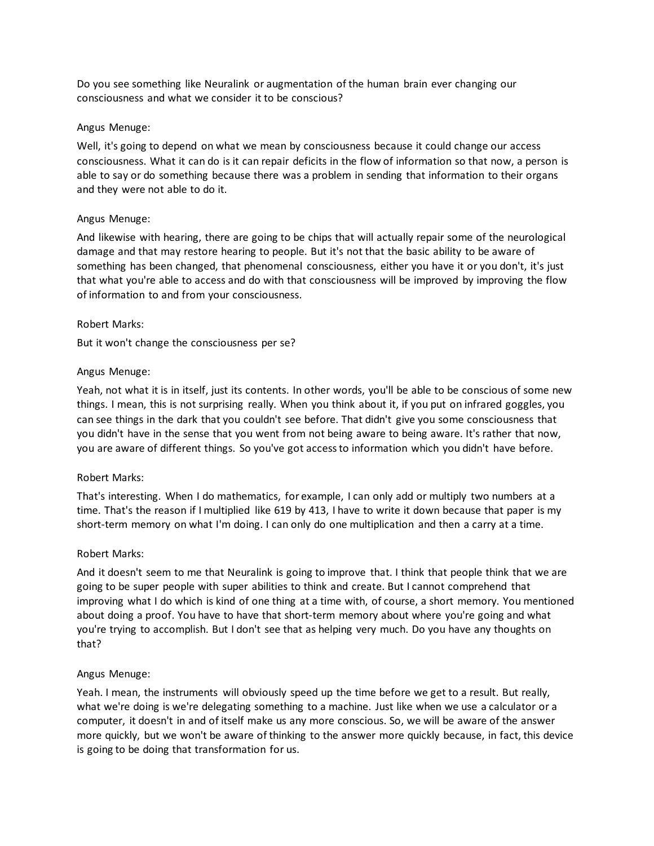Do you see something like Neuralink or augmentation of the human brain ever changing our consciousness and what we consider it to be conscious?

### Angus Menuge:

Well, it's going to depend on what we mean by consciousness because it could change our access consciousness. What it can do is it can repair deficits in the flow of information so that now, a person is able to say or do something because there was a problem in sending that information to their organs and they were not able to do it.

### Angus Menuge:

And likewise with hearing, there are going to be chips that will actually repair some of the neurological damage and that may restore hearing to people. But it's not that the basic ability to be aware of something has been changed, that phenomenal consciousness, either you have it or you don't, it's just that what you're able to access and do with that consciousness will be improved by improving the flow of information to and from your consciousness.

### Robert Marks:

But it won't change the consciousness per se?

### Angus Menuge:

Yeah, not what it is in itself, just its contents. In other words, you'll be able to be conscious of some new things. I mean, this is not surprising really. When you think about it, if you put on infrared goggles, you can see things in the dark that you couldn't see before. That didn't give you some consciousness that you didn't have in the sense that you went from not being aware to being aware. It's rather that now, you are aware of different things. So you've got access to information which you didn't have before.

#### Robert Marks:

That's interesting. When I do mathematics, for example, I can only add or multiply two numbers at a time. That's the reason if I multiplied like 619 by 413, I have to write it down because that paper is my short-term memory on what I'm doing. I can only do one multiplication and then a carry at a time.

#### Robert Marks:

And it doesn't seem to me that Neuralink is going to improve that. I think that people think that we are going to be super people with super abilities to think and create. But I cannot comprehend that improving what I do which is kind of one thing at a time with, of course, a short memory. You mentioned about doing a proof. You have to have that short-term memory about where you're going and what you're trying to accomplish. But I don't see that as helping very much. Do you have any thoughts on that?

#### Angus Menuge:

Yeah. I mean, the instruments will obviously speed up the time before we get to a result. But really, what we're doing is we're delegating something to a machine. Just like when we use a calculator or a computer, it doesn't in and of itself make us any more conscious. So, we will be aware of the answer more quickly, but we won't be aware of thinking to the answer more quickly because, in fact, this device is going to be doing that transformation for us.